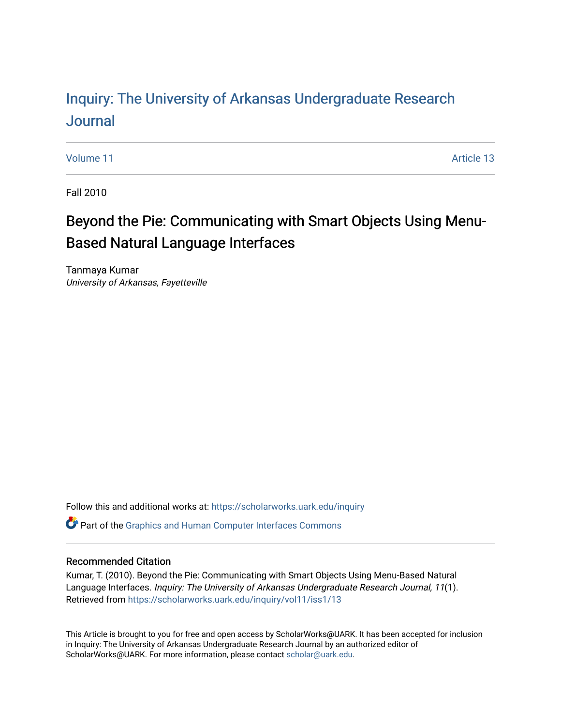# Inquiry: The Univ[ersity of Arkansas Undergraduate Resear](https://scholarworks.uark.edu/inquiry)ch [Journal](https://scholarworks.uark.edu/inquiry)

[Volume 11](https://scholarworks.uark.edu/inquiry/vol11) Article 13

Fall 2010

# Beyond the Pie: Communicating with Smart Objects Using Menu-Based Natural Language Interfaces

Tanmaya Kumar University of Arkansas, Fayetteville

Follow this and additional works at: [https://scholarworks.uark.edu/inquiry](https://scholarworks.uark.edu/inquiry?utm_source=scholarworks.uark.edu%2Finquiry%2Fvol11%2Fiss1%2F13&utm_medium=PDF&utm_campaign=PDFCoverPages)

**P** Part of the Graphics and Human Computer Interfaces Commons

# Recommended Citation

Kumar, T. (2010). Beyond the Pie: Communicating with Smart Objects Using Menu-Based Natural Language Interfaces. Inquiry: The University of Arkansas Undergraduate Research Journal, 11(1). Retrieved from [https://scholarworks.uark.edu/inquiry/vol11/iss1/13](https://scholarworks.uark.edu/inquiry/vol11/iss1/13?utm_source=scholarworks.uark.edu%2Finquiry%2Fvol11%2Fiss1%2F13&utm_medium=PDF&utm_campaign=PDFCoverPages) 

This Article is brought to you for free and open access by ScholarWorks@UARK. It has been accepted for inclusion in Inquiry: The University of Arkansas Undergraduate Research Journal by an authorized editor of ScholarWorks@UARK. For more information, please contact [scholar@uark.edu](mailto:scholar@uark.edu).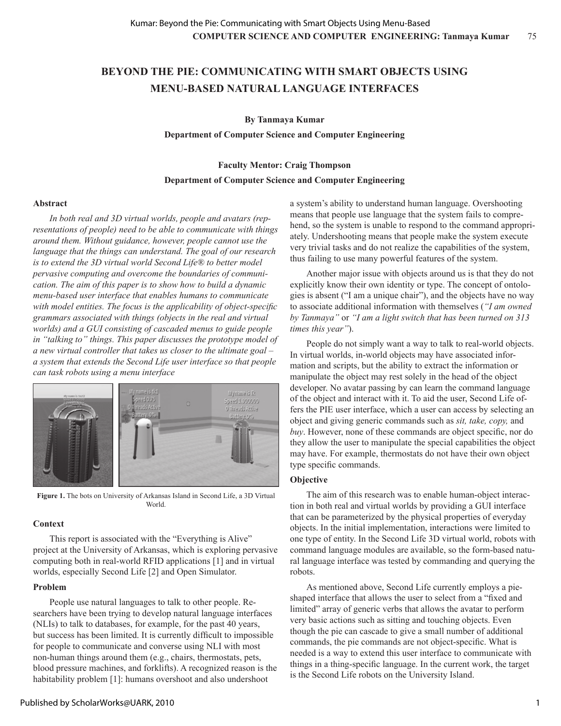# **BEYOND THE PIE: COMMUNICATING WITH SMART OBJECTS USING MENU-BASED NATURAL LANGUAGE INTERFACES**

**By Tanmaya Kumar**

**Department of Computer Science and Computer Engineering**

### **Faculty Mentor: Craig Thompson**

#### **Department of Computer Science and Computer Engineering**

#### **Abstract**

*In both real and 3D virtual worlds, people and avatars (representations of people) need to be able to communicate with things around them. Without guidance, however, people cannot use the language that the things can understand. The goal of our research is to extend the 3D virtual world Second Life® to better model pervasive computing and overcome the boundaries of communication. The aim of this paper is to show how to build a dynamic menu-based user interface that enables humans to communicate with model entities. The focus is the applicability of object-specific grammars associated with things (objects in the real and virtual worlds) and a GUI consisting of cascaded menus to guide people in "talking to" things. This paper discusses the prototype model of a new virtual controller that takes us closer to the ultimate goal – a system that extends the Second Life user interface so that people can task robots using a menu interface*



**Figure 1.** The bots on University of Arkansas Island in Second Life, a 3D Virtual World.

#### **Context**

This report is associated with the "Everything is Alive" project at the University of Arkansas, which is exploring pervasive computing both in real-world RFID applications [1] and in virtual worlds, especially Second Life [2] and Open Simulator.

#### **Problem**

People use natural languages to talk to other people. Researchers have been trying to develop natural language interfaces (NLIs) to talk to databases, for example, for the past 40 years, but success has been limited. It is currently difficult to impossible for people to communicate and converse using NLI with most non-human things around them (e.g., chairs, thermostats, pets, blood pressure machines, and forklifts). A recognized reason is the habitability problem [1]: humans overshoot and also undershoot

a system's ability to understand human language. Overshooting means that people use language that the system fails to comprehend, so the system is unable to respond to the command appropriately. Undershooting means that people make the system execute very trivial tasks and do not realize the capabilities of the system, thus failing to use many powerful features of the system.

Another major issue with objects around us is that they do not explicitly know their own identity or type. The concept of ontologies is absent ("I am a unique chair"), and the objects have no way to associate additional information with themselves (*"I am owned by Tanmaya"* or *"I am a light switch that has been turned on 313 times this year"*).

People do not simply want a way to talk to real-world objects. In virtual worlds, in-world objects may have associated information and scripts, but the ability to extract the information or manipulate the object may rest solely in the head of the object developer. No avatar passing by can learn the command language of the object and interact with it. To aid the user, Second Life offers the PIE user interface, which a user can access by selecting an object and giving generic commands such as *sit, take, copy,* and *buy*. However, none of these commands are object specific, nor do they allow the user to manipulate the special capabilities the object may have. For example, thermostats do not have their own object type specific commands.

# **Objective**

The aim of this research was to enable human-object interaction in both real and virtual worlds by providing a GUI interface that can be parameterized by the physical properties of everyday objects. In the initial implementation, interactions were limited to one type of entity. In the Second Life 3D virtual world, robots with command language modules are available, so the form-based natural language interface was tested by commanding and querying the robots.

As mentioned above, Second Life currently employs a pieshaped interface that allows the user to select from a "fixed and limited" array of generic verbs that allows the avatar to perform very basic actions such as sitting and touching objects. Even though the pie can cascade to give a small number of additional commands, the pie commands are not object-specific. What is needed is a way to extend this user interface to communicate with things in a thing-specific language. In the current work, the target is the Second Life robots on the University Island.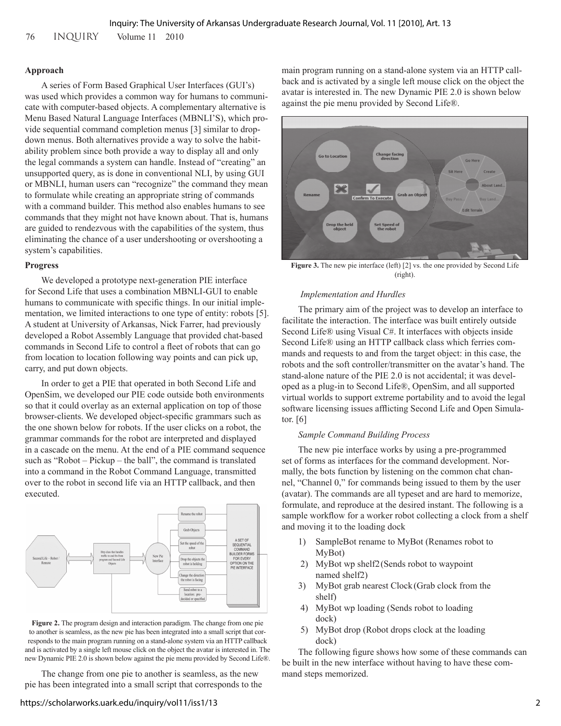76 INQUIRY Volume 11 2010

# **Approach**

A series of Form Based Graphical User Interfaces (GUI's) was used which provides a common way for humans to communicate with computer-based objects. A complementary alternative is Menu Based Natural Language Interfaces (MBNLI'S), which provide sequential command completion menus [3] similar to dropdown menus. Both alternatives provide a way to solve the habitability problem since both provide a way to display all and only the legal commands a system can handle. Instead of "creating" an unsupported query, as is done in conventional NLI, by using GUI or MBNLI, human users can "recognize" the command they mean to formulate while creating an appropriate string of commands with a command builder. This method also enables humans to see commands that they might not have known about. That is, humans are guided to rendezvous with the capabilities of the system, thus eliminating the chance of a user undershooting or overshooting a system's capabilities.

# **Progress**

We developed a prototype next-generation PIE interface for Second Life that uses a combination MBNLI-GUI to enable humans to communicate with specific things. In our initial implementation, we limited interactions to one type of entity: robots [5]. A student at University of Arkansas, Nick Farrer, had previously developed a Robot Assembly Language that provided chat-based commands in Second Life to control a fleet of robots that can go from location to location following way points and can pick up, carry, and put down objects.

In order to get a PIE that operated in both Second Life and OpenSim, we developed our PIE code outside both environments so that it could overlay as an external application on top of those browser-clients. We developed object-specific grammars such as the one shown below for robots. If the user clicks on a robot, the grammar commands for the robot are interpreted and displayed in a cascade on the menu. At the end of a PIE command sequence such as "Robot – Pickup – the ball", the command is translated into a command in the Robot Command Language, transmitted over to the robot in second life via an HTTP callback, and then executed.



**Figure 2.** The program design and interaction paradigm. The change from one pie to another is seamless, as the new pie has been integrated into a small script that corresponds to the main program running on a stand-alone system via an HTTP callback and is activated by a single left mouse click on the object the avatar is interested in. The new Dynamic PIE 2.0 is shown below against the pie menu provided by Second Life®.

The change from one pie to another is seamless, as the new pie has been integrated into a small script that corresponds to the main program running on a stand-alone system via an HTTP callback and is activated by a single left mouse click on the object the avatar is interested in. The new Dynamic PIE 2.0 is shown below against the pie menu provided by Second Life®.



Figure 3. The new pie interface (left) [2] vs. the one provided by Second Life (right).

#### *Implementation and Hurdles*

The primary aim of the project was to develop an interface to facilitate the interaction. The interface was built entirely outside Second Life® using Visual C#. It interfaces with objects inside Second Life® using an HTTP callback class which ferries commands and requests to and from the target object: in this case, the robots and the soft controller/transmitter on the avatar's hand. The stand-alone nature of the PIE 2.0 is not accidental; it was developed as a plug-in to Second Life®, OpenSim, and all supported virtual worlds to support extreme portability and to avoid the legal software licensing issues afflicting Second Life and Open Simulator. [6]

#### *Sample Command Building Process*

The new pie interface works by using a pre-programmed set of forms as interfaces for the command development. Normally, the bots function by listening on the common chat channel, "Channel 0," for commands being issued to them by the user (avatar). The commands are all typeset and are hard to memorize, formulate, and reproduce at the desired instant. The following is a sample workflow for a worker robot collecting a clock from a shelf and moving it to the loading dock

- 1) SampleBot rename to MyBot (Renames robot to MyBot)
- 2) MyBot wp shelf2(Sends robot to waypoint named shelf2)
- 3) MyBot grab nearest Clock(Grab clock from the shelf)
- 4) MyBot wp loading (Sends robot to loading dock)
- 5) MyBot drop (Robot drops clock at the loading dock)

The following figure shows how some of these commands can be built in the new interface without having to have these command steps memorized.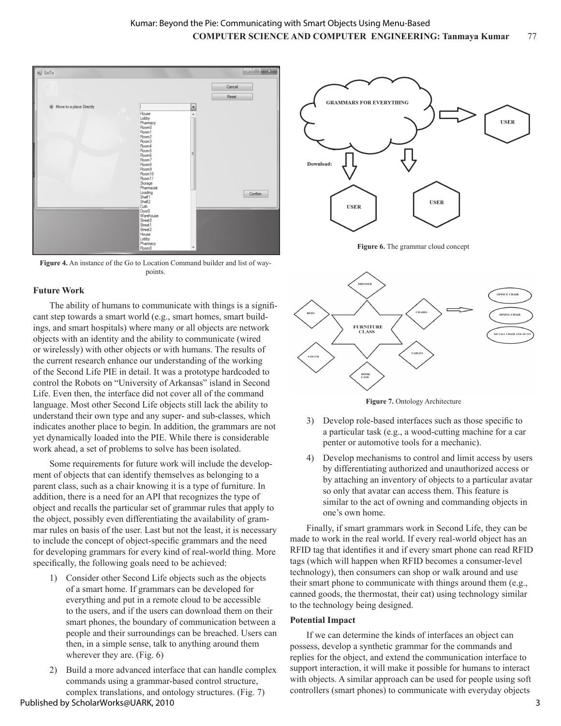

**Figure 4.** An instance of the Go to Location Command builder and list of waypoints.

# **Future Work**

The ability of humans to communicate with things is a significant step towards a smart world (e.g., smart homes, smart buildings, and smart hospitals) where many or all objects are network objects with an identity and the ability to communicate (wired or wirelessly) with other objects or with humans. The results of the current research enhance our understanding of the working of the Second Life PIE in detail. It was a prototype hardcoded to control the Robots on "University of Arkansas" island in Second Life. Even then, the interface did not cover all of the command language. Most other Second Life objects still lack the ability to understand their own type and any super- and sub-classes, which indicates another place to begin. In addition, the grammars are not yet dynamically loaded into the PIE. While there is considerable work ahead, a set of problems to solve has been isolated.

Some requirements for future work will include the development of objects that can identify themselves as belonging to a parent class, such as a chair knowing it is a type of furniture. In addition, there is a need for an API that recognizes the type of object and recalls the particular set of grammar rules that apply to the object, possibly even differentiating the availability of grammar rules on basis of the user. Last but not the least, it is necessary to include the concept of object-specific grammars and the need for developing grammars for every kind of real-world thing. More specifically, the following goals need to be achieved:

- 1) Consider other Second Life objects such as the objects of a smart home. If grammars can be developed for everything and put in a remote cloud to be accessible to the users, and if the users can download them on their smart phones, the boundary of communication between a people and their surroundings can be breached. Users can then, in a simple sense, talk to anything around them wherever they are. (Fig. 6)
- 2) Build a more advanced interface that can handle complex commands using a grammar-based control structure, complex translations, and ontology structures. (Fig. 7)







**Figure 7.** Ontology Architecture

- 3) Develop role-based interfaces such as those specific to a particular task (e.g., a wood-cutting machine for a car penter or automotive tools for a mechanic).
- 4) Develop mechanisms to control and limit access by users by differentiating authorized and unauthorized access or by attaching an inventory of objects to a particular avatar so only that avatar can access them. This feature is similar to the act of owning and commanding objects in one's own home.

Finally, if smart grammars work in Second Life, they can be made to work in the real world. If every real-world object has an RFID tag that identifies it and if every smart phone can read RFID tags (which will happen when RFID becomes a consumer-level technology), then consumers can shop or walk around and use their smart phone to communicate with things around them (e.g., canned goods, the thermostat, their cat) using technology similar to the technology being designed.

#### **Potential Impact**

If we can determine the kinds of interfaces an object can possess, develop a synthetic grammar for the commands and replies for the object, and extend the communication interface to support interaction, it will make it possible for humans to interact with objects. A similar approach can be used for people using soft controllers (smart phones) to communicate with everyday objects